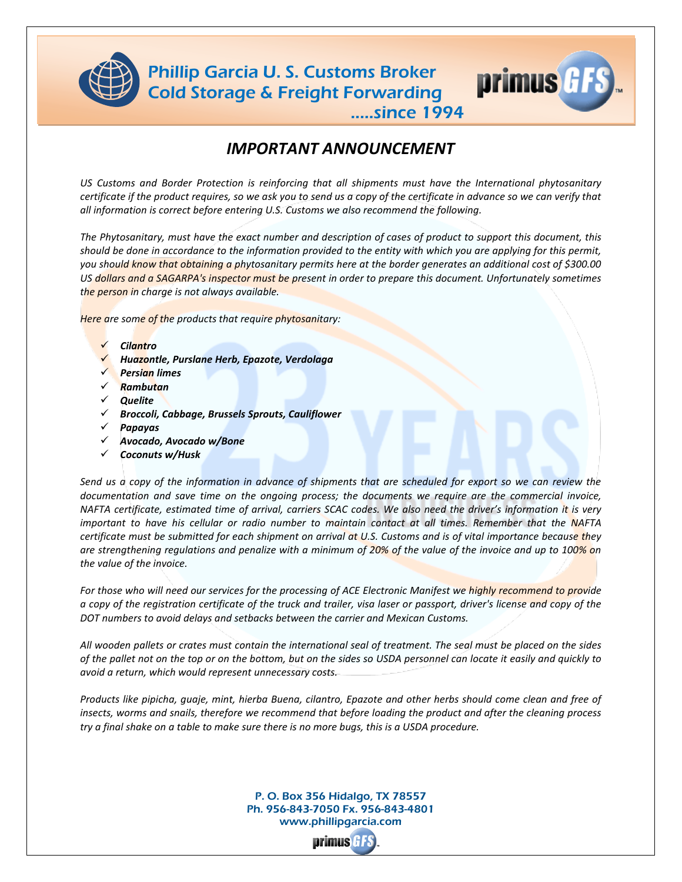



.....since 1994

## *IMPORTANT ANNOUNCEMENT*

*US Customs and Border Protection is reinforcing that all shipments must have the International phytosanitary certificate if the product requires, so we ask you to send us a copy of the certificate in advance so we can verify that all information is correct before entering U.S. Customs we also recommend the following.*

*The Phytosanitary, must have the exact number and description of cases of product to support this document, this should be done in accordance to the information provided to the entity with which you are applying for this permit, you should know that obtaining a phytosanitary permits here at the border generates an additional cost of \$300.00 US dollars and a SAGARPA's inspector must be present in order to prepare this document. Unfortunately sometimes the person in charge is not always available.* 

*Here are some of the products that require phytosanitary:*

- *Cilantro*
- *Huazontle, Purslane Herb, Epazote, Verdolaga*
- *Persian limes*
- *Rambutan*
- *Quelite*
- *Broccoli, Cabbage, Brussels Sprouts, Cauliflower*
- *Papayas*
- *Avocado, Avocado w/Bone*
- *Coconuts w/Husk*

*Send us a copy of the information in advance of shipments that are scheduled for export so we can review the documentation and save time on the ongoing process; the documents we require are the commercial invoice, NAFTA certificate, estimated time of arrival, carriers SCAC codes. We also need the driver's information it is very important to have his cellular or radio number to maintain contact at all times. Remember that the NAFTA certificate must be submitted for each shipment on arrival at U.S. Customs and is of vital importance because they are strengthening regulations and penalize with a minimum of 20% of the value of the invoice and up to 100% on the value of the invoice.*

For those who will need our services for the processing of ACE Electronic Manifest we highly recommend to provide *a copy of the registration certificate of the truck and trailer, visa laser or passport, driver's license and copy of the DOT numbers to avoid delays and setbacks between the carrier and Mexican Customs.*

*All wooden pallets or crates must contain the international seal of treatment. The seal must be placed on the sides of the pallet not on the top or on the bottom, but on the sides so USDA personnel can locate it easily and quickly to avoid a return, which would represent unnecessary costs.*

*Products like pipicha, guaje, mint, hierba Buena, cilantro, Epazote and other herbs should come clean and free of insects, worms and snails, therefore we recommend that before loading the product and after the cleaning process try a final shake on a table to make sure there is no more bugs, this is a USDA procedure.*